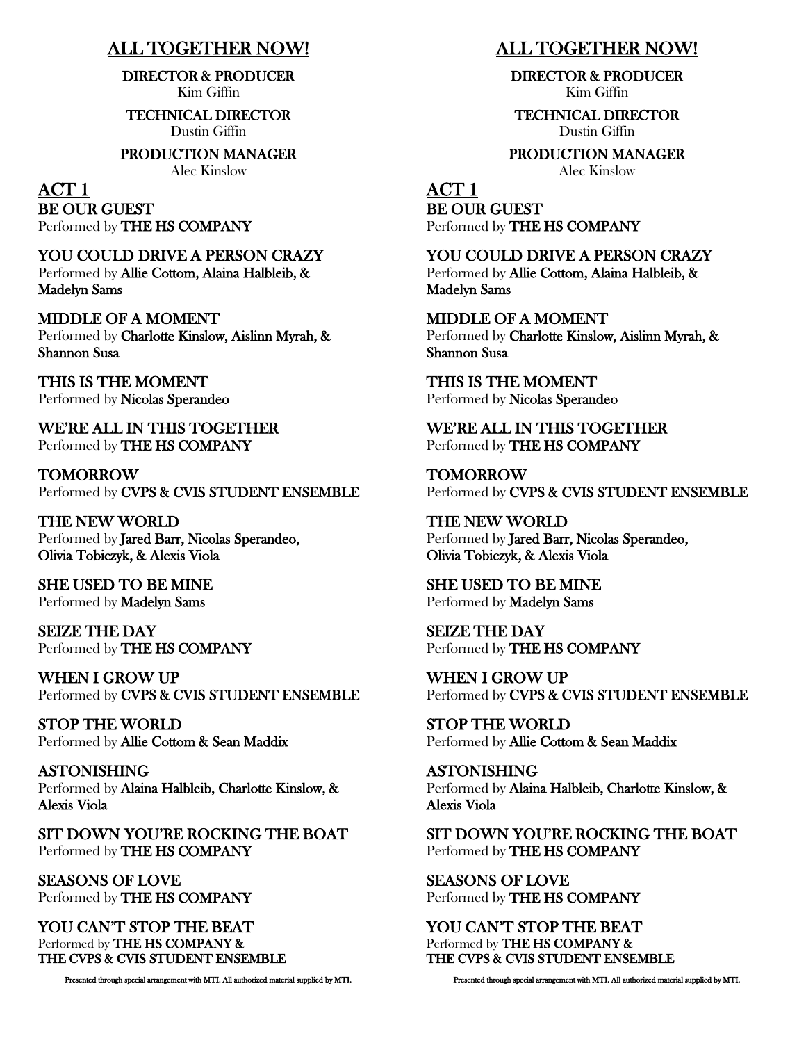### ALL TOGETHER NOW!

DIRECTOR & PRODUCER Kim Giffin

TECHNICAL DIRECTOR

Dustin Giffin

PRODUCTION MANAGER

Alec Kinslow

ACT 1 BE OUR GUEST Performed by THE HS COMPANY

YOU COULD DRIVE A PERSON CRAZY Performed by Allie Cottom, Alaina Halbleib, & Madelyn Sams

MIDDLE OF A MOMENT Performed by Charlotte Kinslow, Aislinn Myrah, & Shannon Susa

THIS IS THE MOMENT Performed by Nicolas Sperandeo

WE'RE ALL IN THIS TOGETHER Performed by THE HS COMPANY

TOMORROW Performed by CVPS & CVIS STUDENT ENSEMBLE

THE NEW WORLD Performed by Jared Barr, Nicolas Sperandeo, Olivia Tobiczyk, & Alexis Viola

SHE USED TO BE MINE Performed by Madelyn Sams

SEIZE THE DAY Performed by THE HS COMPANY

WHEN I GROW UP Performed by CVPS & CVIS STUDENT ENSEMBLE

STOP THE WORLD Performed by Allie Cottom & Sean Maddix

ASTONISHING Performed by Alaina Halbleib, Charlotte Kinslow, & Alexis Viola

SIT DOWN YOU'RE ROCKING THE BOAT Performed by THE HS COMPANY

SEASONS OF LOVE Performed by THE HS COMPANY

YOU CAN'T STOP THE BEAT Performed by THE HS COMPANY & THE CVPS & CVIS STUDENT ENSEMBLE

Presented through special arrangement with MTI. All authorized material supplied by MTI.

### ALL TOGETHER NOW!

DIRECTOR & PRODUCER Kim Giffin

TECHNICAL DIRECTOR Dustin Giffin

PRODUCTION MANAGER

Alec Kinslow

ACT 1 BE OUR GUEST Performed by THE HS COMPANY

YOU COULD DRIVE A PERSON CRAZY Performed by Allie Cottom, Alaina Halbleib, & Madelyn Sams

MIDDLE OF A MOMENT Performed by Charlotte Kinslow, Aislinn Myrah, & Shannon Susa

THIS IS THE MOMENT Performed by Nicolas Sperandeo

WE'RE ALL IN THIS TOGETHER Performed by THE HS COMPANY

TOMORROW Performed by CVPS & CVIS STUDENT ENSEMBLE

THE NEW WORLD Performed by Jared Barr, Nicolas Sperandeo, Olivia Tobiczyk, & Alexis Viola

SHE USED TO BE MINE Performed by Madelyn Sams

SEIZE THE DAY Performed by THE HS COMPANY

WHEN I GROW UP Performed by CVPS & CVIS STUDENT ENSEMBLE

STOP THE WORLD Performed by Allie Cottom & Sean Maddix

ASTONISHING Performed by Alaina Halbleib, Charlotte Kinslow, & Alexis Viola

SIT DOWN YOU'RE ROCKING THE BOAT Performed by THE HS COMPANY

SEASONS OF LOVE Performed by THE HS COMPANY

YOU CAN'T STOP THE BEAT Performed by THE HS COMPANY & THE CVPS & CVIS STUDENT ENSEMBLE

Presented through special arrangement with MTI. All authorized material supplied by MTI.